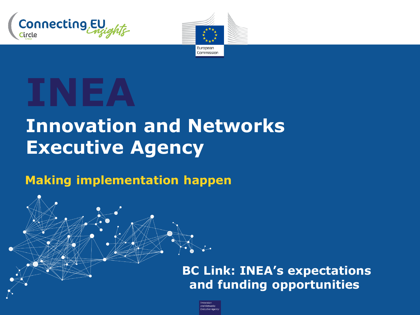



# **INEA**

# **Innovation and Networks Executive Agency**

#### **Making implementation happen**

**BC Link: INEA's expectations and funding opportunities**

and Networks **Executive Agency**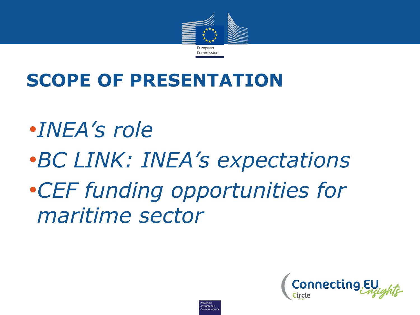

### **SCOPE OF PRESENTATION**

•*INEA's role* •*BC LINK: INEA's expectations* •*CEF funding opportunities for maritime sector* 

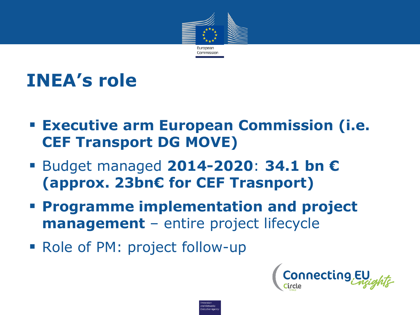

# **INEA's role**

- **Executive arm European Commission (i.e. CEF Transport DG MOVE)**
- Budget managed **2014-2020**: **34.1 bn € (approx. 23bn€ for CEF Trasnport)**
- **Programme implementation and project management** – entire project lifecycle

and Network **Executive Age** 

■ Role of PM: project follow-up

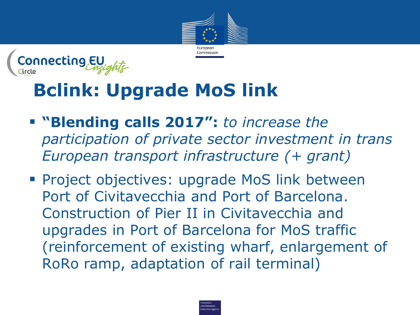



# **Bclink: Upgrade MoS link**

- **"Blending calls 2017":** *to increase the participation of private sector investment in trans European transport infrastructure (+ grant)*
- **Project objectives: upgrade MoS link between** Port of Civitavecchia and Port of Barcelona. Construction of Pier II in Civitavecchia and upgrades in Port of Barcelona for MoS traffic (reinforcement of existing wharf, enlargement of RoRo ramp, adaptation of rail terminal)

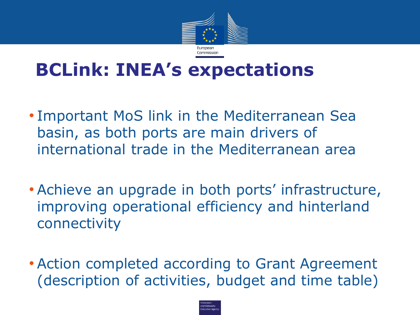

### **BCLink: INEA's expectations**

- Important MoS link in the Mediterranean Sea basin, as both ports are main drivers of international trade in the Mediterranean area
- Achieve an upgrade in both ports' infrastructure, improving operational efficiency and hinterland connectivity
- Action completed according to Grant Agreement (description of activities, budget and time table)

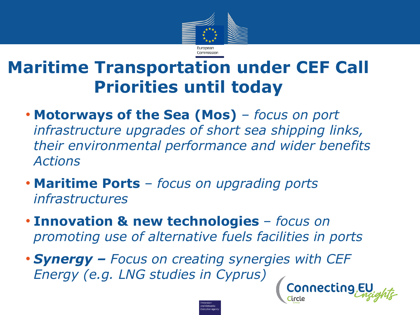

#### **Maritime Transportation under CEF Call Priorities until today**

- **Motorways of the Sea (Mos)** *focus on port infrastructure upgrades of short sea shipping links, their environmental performance and wider benefits Actions*
- **Maritime Ports** *focus on upgrading ports infrastructures*
- **Innovation & new technologies**  *focus on promoting use of alternative fuels facilities in ports*

• *Synergy – Focus on creating synergies with CEF Energy (e.g. LNG studies in Cyprus)*Connecting

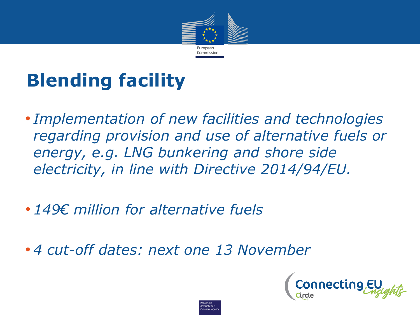

# **Blending facility**

• *Implementation of new facilities and technologies regarding provision and use of alternative fuels or energy, e.g. LNG bunkering and shore side electricity, in line with Directive 2014/94/EU.*

.<br>xecutive Ao

- *149€ million for alternative fuels*
- *4 cut-off dates: next one 13 November*

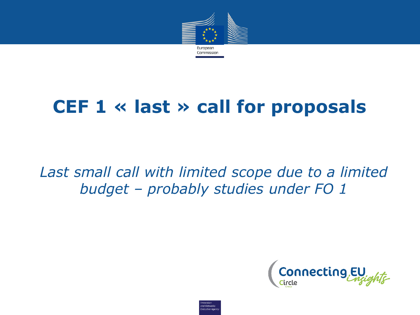

### **CEF 1 « last » call for proposals**

#### *Last small call with limited scope due to a limited budget – probably studies under FO 1*



ind Networks **Executive Agend**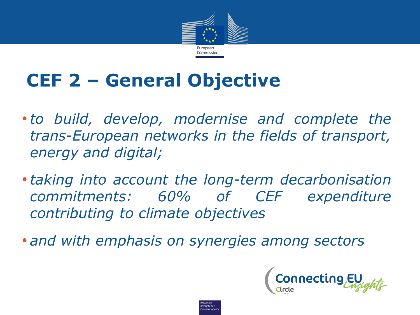

# **CEF 2 – General Objective**

- •*to build, develop, modernise and complete the trans-European networks in the fields of transport, energy and digital;*
- •*taking into account the long-term decarbonisation commitments: 60% of CEF expenditure contributing to climate objectives*

.<br>Xecutive Aor

• *and with emphasis on synergies among sectors*

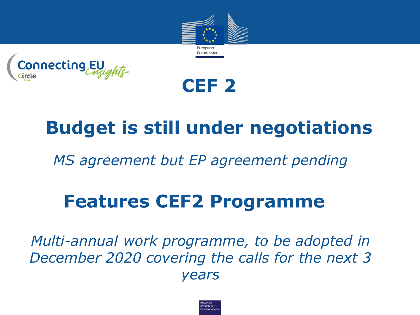

necting,EU



## **Budget is still under negotiations**

*MS agreement but EP agreement pending*

### **Features CEF2 Programme**

*Multi-annual work programme, to be adopted in December 2020 covering the calls for the next 3 years*